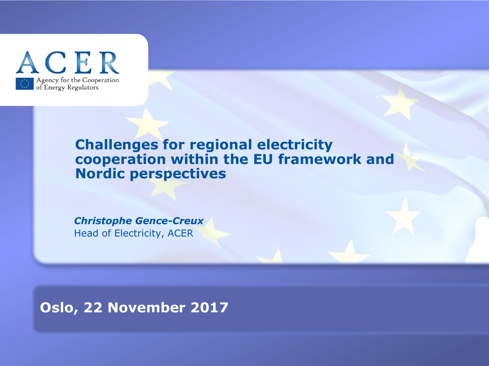

## **Challenges for regional electricity cooperation within the EU framework and Nordic perspectives**

*Christophe Gence-Creux* Head of Electricity, ACER

**TITRE Oslo, 22 November 2017**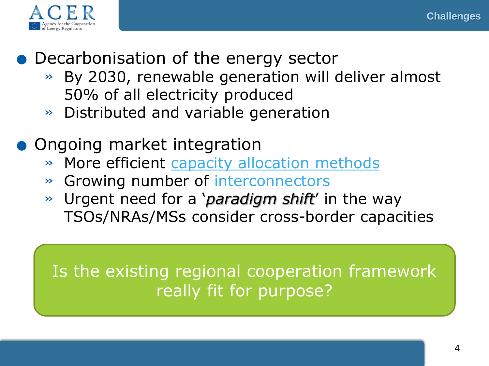

- **DECARDONISATION OF the energy sector** 
	- » By 2030, renewable generation will deliver almost 50% of all electricity produced
	- » Distributed and variable generation
- .Ongoing market integration
	- » More efficient capacity allocation methods
	- » Growing number of interconnectors
	- » Urgent need for a '*paradigm shift*' in the way TSOs/NRAs/MSs consider cross-border capacities

# Is the existing regional cooperation framework really fit for purpose?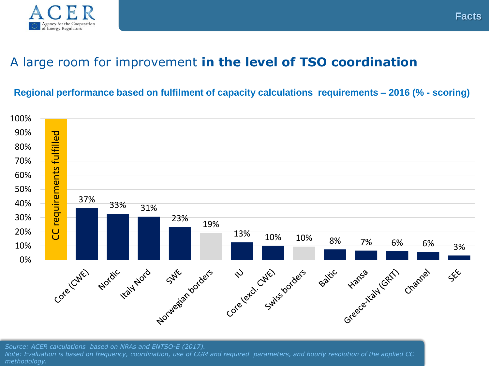

## A large room for improvement **in the level of TSO coordination**

#### **Regional performance based on fulfilment of capacity calculations requirements – 2016 (% - scoring)**



*Source: ACER calculations based on NRAs and ENTSO-E (2017).* 

*Note: Evaluation is based on frequency, coordination, use of CGM and required parameters, and hourly resolution of the applied CC methodology.*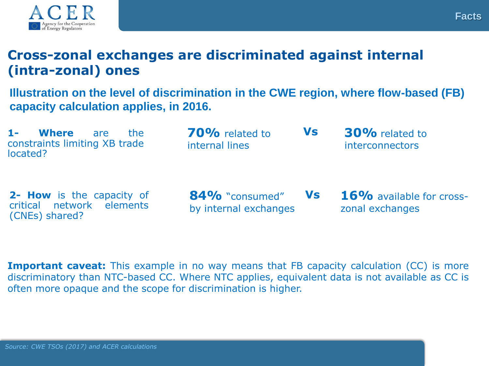

# **Cross-zonal exchanges are discriminated against internal (intra-zonal) ones**

**Illustration on the level of discrimination in the CWE region, where flow-based (FB) capacity calculation applies, in 2016.**

| $1 -$<br>constraints limiting XB trade<br>located? | <b>Where</b> are | the | internal lines | 70% related to | <b>Vs</b> | $30\%$ related to<br><i>interconnectors</i> |  |
|----------------------------------------------------|------------------|-----|----------------|----------------|-----------|---------------------------------------------|--|
|                                                    |                  |     |                |                |           |                                             |  |

**84%** "consumed" by internal exchanges **2- How** is the capacity of critical network elements (CNEs) shared?

**Vs 16%** available for crosszonal exchanges

**Important caveat:** This example in no way means that FB capacity calculation (CC) is more discriminatory than NTC-based CC. Where NTC applies, equivalent data is not available as CC is often more opaque and the scope for discrimination is higher.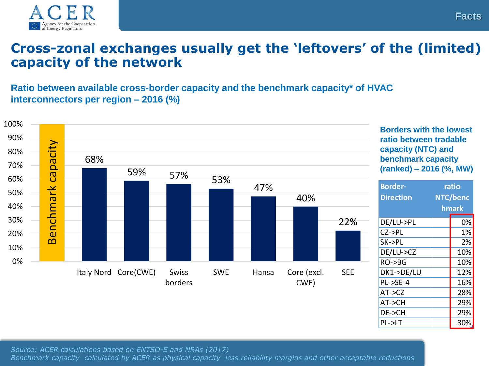

### **Cross-zonal exchanges usually get the 'leftovers' of the (limited) capacity of the network**

**Ratio between available cross-border capacity and the benchmark capacity\* of HVAC interconnectors per region – 2016 (%)**



**Borders with the lowest ratio between tradable capacity (NTC) and benchmark capacity (ranked) – 2016 (%, MW)**

| <b>Border-</b>   | ratio    |       |  |
|------------------|----------|-------|--|
| <b>Direction</b> | NTC/benc |       |  |
|                  |          | hmark |  |
| DE/LU->PL        |          | 0%    |  |
| $CZ->PL$         |          | 1%    |  |
| SK->PL           |          | 2%    |  |
| DE/LU->CZ        |          | 10%   |  |
| $RO->BG$         |          | 10%   |  |
| DK1->DE/LU       |          | 12%   |  |
| $PL->SE-4$       |          | 16%   |  |
| AT > CZ          |          | 28%   |  |
| AT>>CH           |          | 29%   |  |
| DE->CH           |          | 29%   |  |
| PL->LT           |          | 30%   |  |

*Source: ACER calculations based on ENTSO-E and NRAs (2017)*

*Benchmark capacity calculated by ACER as physical capacity less reliability margins and other acceptable reductions*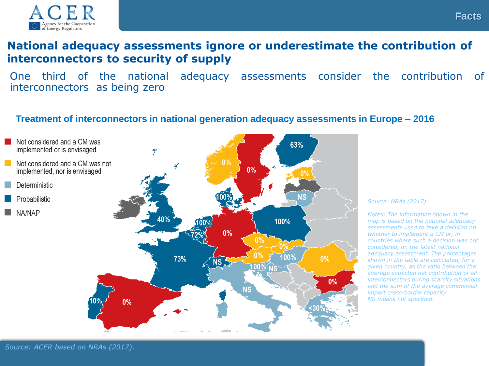

#### **National adequacy assessments ignore or underestimate the contribution of interconnectors to security of supply**

One third of the national adequacy assessments consider the contribution of interconnectors as being zero

#### **Treatment of interconnectors in national generation adequacy assessments in Europe – 2016**



*Source: NRAs (2017).*

*Notes: The information shown in the map is based on the national adequacy assessments used to take a decision on whether to implement a CM or, in countries where such a decision was not considered, on the latest national adequacy assessment. The percentages shown in the table are calculated, for a given country, as the ratio between the average expected net contribution of all interconnectors during scarcity situations and the sum of the average commercial import cross-border capacity. NS means not specified.*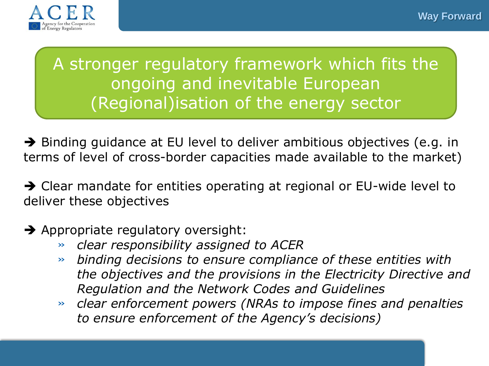

A stronger regulatory framework which fits the ongoing and inevitable European (Regional)isation of the energy sector

 $\rightarrow$  Binding guidance at EU level to deliver ambitious objectives (e.g. in terms of level of cross-border capacities made available to the market)

 $\rightarrow$  Clear mandate for entities operating at regional or EU-wide level to deliver these objectives

# $\rightarrow$  Appropriate regulatory oversight:

- » *clear responsibility assigned to ACER*
- » *binding decisions to ensure compliance of these entities with the objectives and the provisions in the Electricity Directive and Regulation and the Network Codes and Guidelines*
- » *clear enforcement powers (NRAs to impose fines and penalties to ensure enforcement of the Agency's decisions)*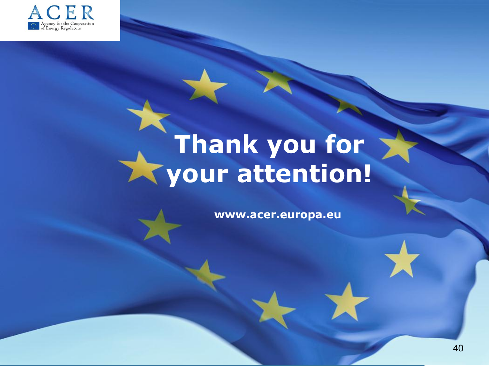

# Thank you for **Trank you**<br>Dur attent **Thank you for your attention!**

www.acer.europa.eu